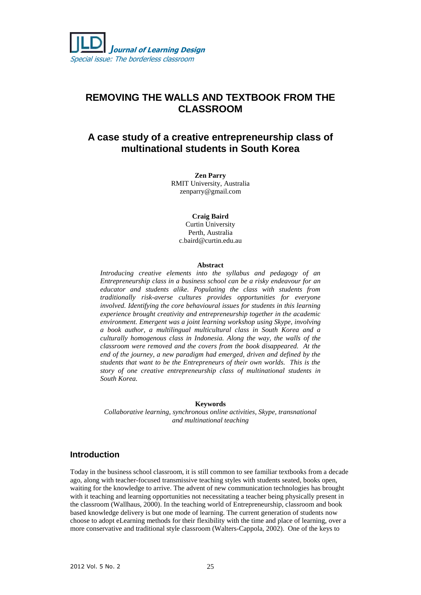# **REMOVING THE WALLS AND TEXTBOOK FROM THE CLASSROOM**

# **A case study of a creative entrepreneurship class of multinational students in South Korea**

**Zen Parry** RMIT University, Australia [zenparry@gmail.com](mailto:zenparry@gmail.com)

**Craig Baird** 

Curtin University Perth, Australia [c.baird@curtin.edu.au](mailto:c.baird@curtin.edu.au)

#### **Abstract**

*Introducing creative elements into the syllabus and pedagogy of an Entrepreneurship class in a business school can be a risky endeavour for an educator and students alike. Populating the class with students from traditionally risk-averse cultures provides opportunities for everyone involved. Identifying the core behavioural issues for students in this learning experience brought creativity and entrepreneurship together in the academic environment. Emergent was a joint learning workshop using Skype, involving a book author, a multilingual multicultural class in South Korea and a culturally homogenous class in Indonesia. Along the way, the walls of the classroom were removed and the covers from the book disappeared. At the end of the journey, a new paradigm had emerged, driven and defined by the students that want to be the Entrepreneurs of their own worlds. This is the story of one creative entrepreneurship class of multinational students in South Korea.*

#### **Keywords**

*Collaborative learning, synchronous online activities, Skype, transnational and multinational teaching* 

#### **Introduction**

Today in the business school classroom, it is still common to see familiar textbooks from a decade ago, along with teacher-focused transmissive teaching styles with students seated, books open, waiting for the knowledge to arrive. The advent of new communication technologies has brought with it teaching and learning opportunities not necessitating a teacher being physically present in the classroom (Wallhaus, 2000). In the teaching world of Entrepreneurship, classroom and book based knowledge delivery is but one mode of learning. The current generation of students now choose to adopt eLearning methods for their flexibility with the time and place of learning, over a more conservative and traditional style classroom (Walters-Cappola, 2002). One of the keys to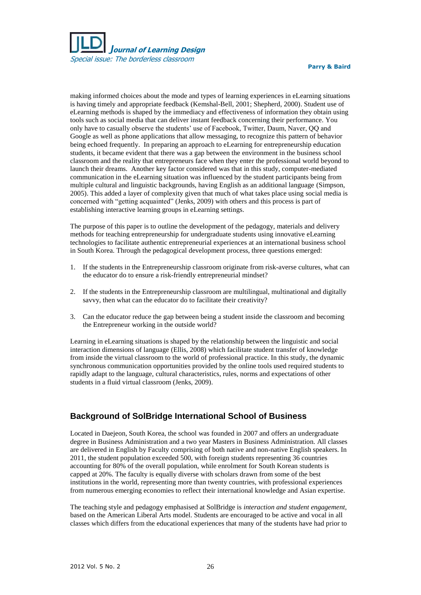

making informed choices about the mode and types of learning experiences in eLearning situations is having timely and appropriate feedback (Kemshal-Bell, 2001; Shepherd, 2000). Student use of eLearning methods is shaped by the immediacy and effectiveness of information they obtain using tools such as social media that can deliver instant feedback concerning their performance. You only have to casually observe the students' use of Facebook, Twitter, Daum, Naver, QQ and Google as well as phone applications that allow messaging, to recognize this pattern of behavior being echoed frequently. In preparing an approach to eLearning for entrepreneurship education students, it became evident that there was a gap between the environment in the business school classroom and the reality that entrepreneurs face when they enter the professional world beyond to launch their dreams. Another key factor considered was that in this study, computer-mediated communication in the eLearning situation was influenced by the student participants being from multiple cultural and linguistic backgrounds, having English as an additional language (Simpson, 2005). This added a layer of complexity given that much of what takes place using social media is concerned with "getting acquainted" (Jenks, 2009) with others and this process is part of establishing interactive learning groups in eLearning settings.

The purpose of this paper is to outline the development of the pedagogy, materials and delivery methods for teaching entrepreneurship for undergraduate students using innovative eLearning technologies to facilitate authentic entrepreneurial experiences at an international business school in South Korea. Through the pedagogical development process, three questions emerged:

- 1. If the students in the Entrepreneurship classroom originate from risk-averse cultures, what can the educator do to ensure a risk-friendly entrepreneurial mindset?
- 2. If the students in the Entrepreneurship classroom are multilingual, multinational and digitally savvy, then what can the educator do to facilitate their creativity?
- 3. Can the educator reduce the gap between being a student inside the classroom and becoming the Entrepreneur working in the outside world?

Learning in eLearning situations is shaped by the relationship between the linguistic and social interaction dimensions of language (Ellis, 2008) which facilitate student transfer of knowledge from inside the virtual classroom to the world of professional practice. In this study, the dynamic synchronous communication opportunities provided by the online tools used required students to rapidly adapt to the language, cultural characteristics, rules, norms and expectations of other students in a fluid virtual classroom (Jenks, 2009).

### **Background of SolBridge International School of Business**

Located in Daejeon, South Korea, the school was founded in 2007 and offers an undergraduate degree in Business Administration and a two year Masters in Business Administration. All classes are delivered in English by Faculty comprising of both native and non-native English speakers. In 2011, the student population exceeded 500, with foreign students representing 36 countries accounting for 80% of the overall population, while enrolment for South Korean students is capped at 20%. The faculty is equally diverse with scholars drawn from some of the best institutions in the world, representing more than twenty countries, with professional experiences from numerous emerging economies to reflect their international knowledge and Asian expertise.

The teaching style and pedagogy emphasised at SolBridge is *interaction and student engagement*, based on the American Liberal Arts model. Students are encouraged to be active and vocal in all classes which differs from the educational experiences that many of the students have had prior to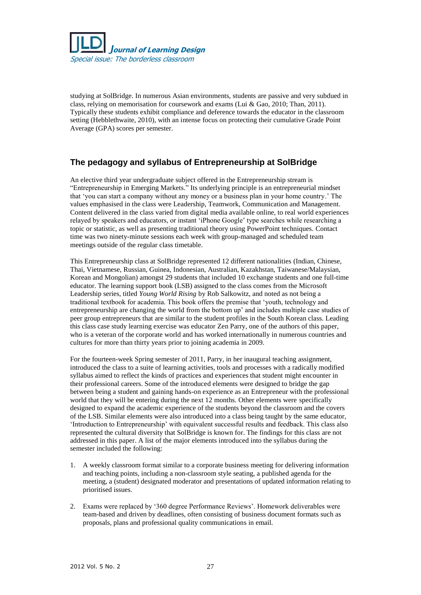

studying at SolBridge. In numerous Asian environments, students are passive and very subdued in class, relying on memorisation for coursework and exams (Lui & Gao, 2010; Than, 2011). Typically these students exhibit compliance and deference towards the educator in the classroom setting (Hebblethwaite, 2010), with an intense focus on protecting their cumulative Grade Point Average (GPA) scores per semester.

# **The pedagogy and syllabus of Entrepreneurship at SolBridge**

An elective third year undergraduate subject offered in the Entrepreneurship stream is "Entrepreneurship in Emerging Markets." Its underlying principle is an entrepreneurial mindset that 'you can start a company without any money or a business plan in your home country.' The values emphasised in the class were Leadership, Teamwork, Communication and Management. Content delivered in the class varied from digital media available online, to real world experiences relayed by speakers and educators, or instant 'iPhone Google' type searches while researching a topic or statistic, as well as presenting traditional theory using PowerPoint techniques. Contact time was two ninety-minute sessions each week with group-managed and scheduled team meetings outside of the regular class timetable.

This Entrepreneurship class at SolBridge represented 12 different nationalities (Indian, Chinese, Thai, Vietnamese, Russian, Guinea, Indonesian, Australian, Kazakhstan, Taiwanese/Malaysian, Korean and Mongolian) amongst 29 students that included 10 exchange students and one full-time educator. The learning support book (LSB) assigned to the class comes from the Microsoft Leadership series, titled *Young World Rising* by Rob Salkowitz, and noted as not being a traditional textbook for academia. This book offers the premise that 'youth, technology and entrepreneurship are changing the world from the bottom up' and includes multiple case studies of peer group entrepreneurs that are similar to the student profiles in the South Korean class. Leading this class case study learning exercise was educator Zen Parry, one of the authors of this paper, who is a veteran of the corporate world and has worked internationally in numerous countries and cultures for more than thirty years prior to joining academia in 2009.

For the fourteen-week Spring semester of 2011, Parry, in her inaugural teaching assignment, introduced the class to a suite of learning activities, tools and processes with a radically modified syllabus aimed to reflect the kinds of practices and experiences that student might encounter in their professional careers. Some of the introduced elements were designed to bridge the gap between being a student and gaining hands-on experience as an Entrepreneur with the professional world that they will be entering during the next 12 months. Other elements were specifically designed to expand the academic experience of the students beyond the classroom and the covers of the LSB. Similar elements were also introduced into a class being taught by the same educator, 'Introduction to Entrepreneurship' with equivalent successful results and feedback. This class also represented the cultural diversity that SolBridge is known for. The findings for this class are not addressed in this paper. A list of the major elements introduced into the syllabus during the semester included the following:

- 1. A weekly classroom format similar to a corporate business meeting for delivering information and teaching points, including a non-classroom style seating, a published agenda for the meeting, a (student) designated moderator and presentations of updated information relating to prioritised issues.
- 2. Exams were replaced by '360 degree Performance Reviews'. Homework deliverables were team-based and driven by deadlines, often consisting of business document formats such as proposals, plans and professional quality communications in email.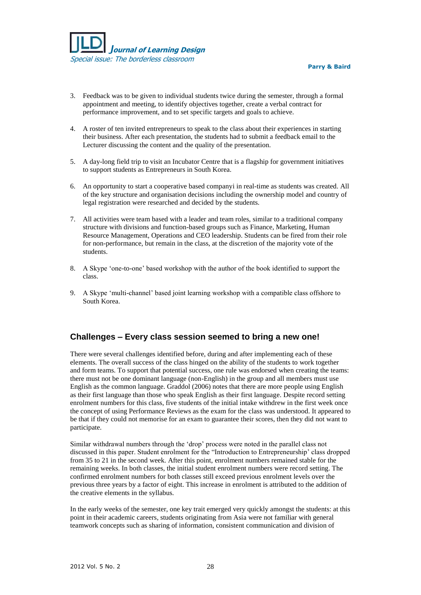

- 3. Feedback was to be given to individual students twice during the semester, through a formal appointment and meeting, to identify objectives together, create a verbal contract for performance improvement, and to set specific targets and goals to achieve.
- 4. A roster of ten invited entrepreneurs to speak to the class about their experiences in starting their business. After each presentation, the students had to submit a feedback email to the Lecturer discussing the content and the quality of the presentation.
- 5. A day-long field trip to visit an Incubator Centre that is a flagship for government initiatives to support students as Entrepreneurs in South Korea.
- 6. An opportunity to start a cooperative based companyi in real-time as students was created. All of the key structure and organisation decisions including the ownership model and country of legal registration were researched and decided by the students.
- 7. All activities were team based with a leader and team roles, similar to a traditional company structure with divisions and function-based groups such as Finance, Marketing, Human Resource Management, Operations and CEO leadership. Students can be fired from their role for non-performance, but remain in the class, at the discretion of the majority vote of the students.
- 8. A Skype 'one-to-one' based workshop with the author of the book identified to support the class.
- 9. A Skype 'multi-channel' based joint learning workshop with a compatible class offshore to South Korea.

### **Challenges – Every class session seemed to bring a new one!**

There were several challenges identified before, during and after implementing each of these elements. The overall success of the class hinged on the ability of the students to work together and form teams. To support that potential success, one rule was endorsed when creating the teams: there must not be one dominant language (non-English) in the group and all members must use English as the common language. Graddol (2006) notes that there are more people using English as their first language than those who speak English as their first language. Despite record setting enrolment numbers for this class, five students of the initial intake withdrew in the first week once the concept of using Performance Reviews as the exam for the class was understood. It appeared to be that if they could not memorise for an exam to guarantee their scores, then they did not want to participate.

Similar withdrawal numbers through the 'drop' process were noted in the parallel class not discussed in this paper. Student enrolment for the "Introduction to Entrepreneurship' class dropped from 35 to 21 in the second week. After this point, enrolment numbers remained stable for the remaining weeks. In both classes, the initial student enrolment numbers were record setting. The confirmed enrolment numbers for both classes still exceed previous enrolment levels over the previous three years by a factor of eight. This increase in enrolment is attributed to the addition of the creative elements in the syllabus.

In the early weeks of the semester, one key trait emerged very quickly amongst the students: at this point in their academic careers, students originating from Asia were not familiar with general teamwork concepts such as sharing of information, consistent communication and division of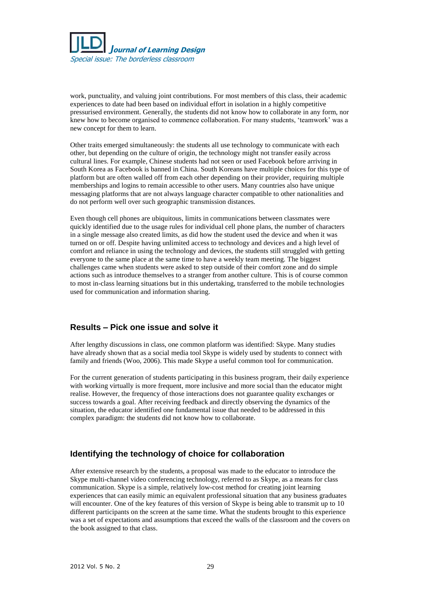

work, punctuality, and valuing joint contributions. For most members of this class, their academic experiences to date had been based on individual effort in isolation in a highly competitive pressurised environment. Generally, the students did not know how to collaborate in any form, nor knew how to become organised to commence collaboration. For many students, 'teamwork' was a new concept for them to learn.

Other traits emerged simultaneously: the students all use technology to communicate with each other, but depending on the culture of origin, the technology might not transfer easily across cultural lines. For example, Chinese students had not seen or used Facebook before arriving in South Korea as Facebook is banned in China. South Koreans have multiple choices for this type of platform but are often walled off from each other depending on their provider, requiring multiple memberships and logins to remain accessible to other users. Many countries also have unique messaging platforms that are not always language character compatible to other nationalities and do not perform well over such geographic transmission distances.

Even though cell phones are ubiquitous, limits in communications between classmates were quickly identified due to the usage rules for individual cell phone plans, the number of characters in a single message also created limits, as did how the student used the device and when it was turned on or off. Despite having unlimited access to technology and devices and a high level of comfort and reliance in using the technology and devices, the students still struggled with getting everyone to the same place at the same time to have a weekly team meeting. The biggest challenges came when students were asked to step outside of their comfort zone and do simple actions such as introduce themselves to a stranger from another culture. This is of course common to most in-class learning situations but in this undertaking, transferred to the mobile technologies used for communication and information sharing.

#### **Results – Pick one issue and solve it**

After lengthy discussions in class, one common platform was identified: Skype. Many studies have already shown that as a social media tool Skype is widely used by students to connect with family and friends (Woo, 2006). This made Skype a useful common tool for communication.

For the current generation of students participating in this business program, their daily experience with working virtually is more frequent, more inclusive and more social than the educator might realise. However, the frequency of those interactions does not guarantee quality exchanges or success towards a goal. After receiving feedback and directly observing the dynamics of the situation, the educator identified one fundamental issue that needed to be addressed in this complex paradigm: the students did not know how to collaborate.

### **Identifying the technology of choice for collaboration**

After extensive research by the students, a proposal was made to the educator to introduce the Skype multi-channel video conferencing technology, referred to as Skype, as a means for class communication. Skype is a simple, relatively low-cost method for creating joint learning experiences that can easily mimic an equivalent professional situation that any business graduates will encounter. One of the key features of this version of Skype is being able to transmit up to 10 different participants on the screen at the same time. What the students brought to this experience was a set of expectations and assumptions that exceed the walls of the classroom and the covers on the book assigned to that class.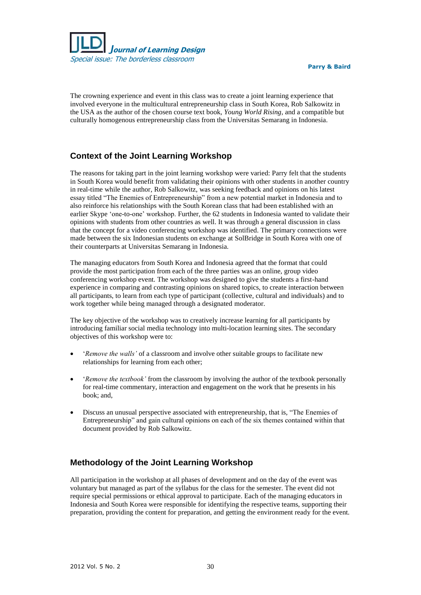

The crowning experience and event in this class was to create a joint learning experience that involved everyone in the multicultural entrepreneurship class in South Korea, Rob Salkowitz in the USA as the author of the chosen course text book, *Young World Rising*, and a compatible but culturally homogenous entrepreneurship class from the Universitas Semarang in Indonesia.

# **Context of the Joint Learning Workshop**

The reasons for taking part in the joint learning workshop were varied: Parry felt that the students in South Korea would benefit from validating their opinions with other students in another country in real-time while the author, Rob Salkowitz, was seeking feedback and opinions on his latest essay titled "The Enemies of Entrepreneurship" from a new potential market in Indonesia and to also reinforce his relationships with the South Korean class that had been established with an earlier Skype 'one-to-one' workshop. Further, the 62 students in Indonesia wanted to validate their opinions with students from other countries as well. It was through a general discussion in class that the concept for a video conferencing workshop was identified. The primary connections were made between the six Indonesian students on exchange at SolBridge in South Korea with one of their counterparts at Universitas Semarang in Indonesia.

The managing educators from South Korea and Indonesia agreed that the format that could provide the most participation from each of the three parties was an online, group video conferencing workshop event. The workshop was designed to give the students a first-hand experience in comparing and contrasting opinions on shared topics, to create interaction between all participants, to learn from each type of participant (collective, cultural and individuals) and to work together while being managed through a designated moderator.

The key objective of the workshop was to creatively increase learning for all participants by introducing familiar social media technology into multi-location learning sites. The secondary objectives of this workshop were to:

- '*Remove the walls'* of a classroom and involve other suitable groups to facilitate new relationships for learning from each other;
- '*Remove the textbook'* from the classroom by involving the author of the textbook personally for real-time commentary, interaction and engagement on the work that he presents in his book; and,
- Discuss an unusual perspective associated with entrepreneurship, that is, "The Enemies of Entrepreneurship" and gain cultural opinions on each of the six themes contained within that document provided by Rob Salkowitz.

# **Methodology of the Joint Learning Workshop**

All participation in the workshop at all phases of development and on the day of the event was voluntary but managed as part of the syllabus for the class for the semester. The event did not require special permissions or ethical approval to participate. Each of the managing educators in Indonesia and South Korea were responsible for identifying the respective teams, supporting their preparation, providing the content for preparation, and getting the environment ready for the event.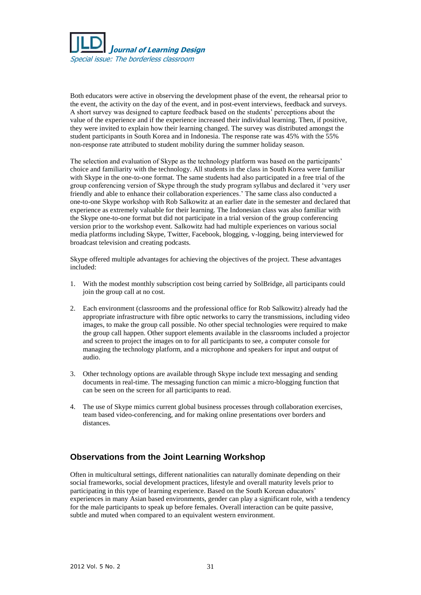

Both educators were active in observing the development phase of the event, the rehearsal prior to the event, the activity on the day of the event, and in post-event interviews, feedback and surveys. A short survey was designed to capture feedback based on the students' perceptions about the value of the experience and if the experience increased their individual learning. Then, if positive, they were invited to explain how their learning changed. The survey was distributed amongst the student participants in South Korea and in Indonesia. The response rate was 45% with the 55% non-response rate attributed to student mobility during the summer holiday season.

The selection and evaluation of Skype as the technology platform was based on the participants' choice and familiarity with the technology. All students in the class in South Korea were familiar with Skype in the one-to-one format. The same students had also participated in a free trial of the group conferencing version of Skype through the study program syllabus and declared it 'very user friendly and able to enhance their collaboration experiences.' The same class also conducted a one-to-one Skype workshop with Rob Salkowitz at an earlier date in the semester and declared that experience as extremely valuable for their learning. The Indonesian class was also familiar with the Skype one-to-one format but did not participate in a trial version of the group conferencing version prior to the workshop event. Salkowitz had had multiple experiences on various social media platforms including Skype, Twitter, Facebook, blogging, v-logging, being interviewed for broadcast television and creating podcasts.

Skype offered multiple advantages for achieving the objectives of the project. These advantages included:

- 1. With the modest monthly subscription cost being carried by SolBridge, all participants could join the group call at no cost.
- 2. Each environment (classrooms and the professional office for Rob Salkowitz) already had the appropriate infrastructure with fibre optic networks to carry the transmissions, including video images, to make the group call possible. No other special technologies were required to make the group call happen. Other support elements available in the classrooms included a projector and screen to project the images on to for all participants to see, a computer console for managing the technology platform, and a microphone and speakers for input and output of audio.
- 3. Other technology options are available through Skype include text messaging and sending documents in real-time. The messaging function can mimic a micro-blogging function that can be seen on the screen for all participants to read.
- 4. The use of Skype mimics current global business processes through collaboration exercises, team based video-conferencing, and for making online presentations over borders and distances.

# **Observations from the Joint Learning Workshop**

Often in multicultural settings, different nationalities can naturally dominate depending on their social frameworks, social development practices, lifestyle and overall maturity levels prior to participating in this type of learning experience. Based on the South Korean educators' experiences in many Asian based environments, gender can play a significant role, with a tendency for the male participants to speak up before females. Overall interaction can be quite passive, subtle and muted when compared to an equivalent western environment.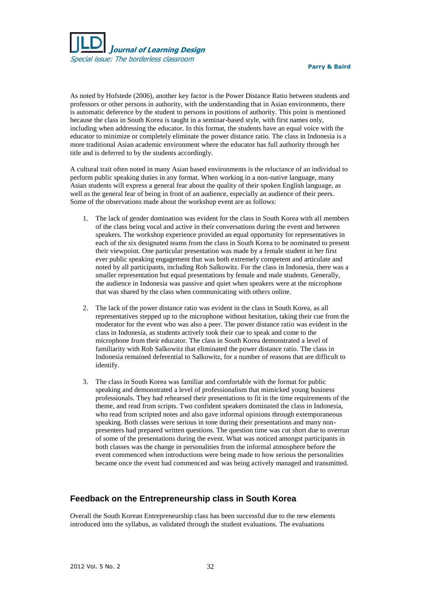

As noted by Hofstede (2006), another key factor is the Power Distance Ratio between students and professors or other persons in authority, with the understanding that in Asian environments, there is automatic deference by the student to persons in positions of authority. This point is mentioned because the class in South Korea is taught in a seminar-based style, with first names only, including when addressing the educator. In this format, the students have an equal voice with the educator to minimize or completely eliminate the power distance ratio. The class in Indonesia is a more traditional Asian academic environment where the educator has full authority through her title and is deferred to by the students accordingly.

A cultural trait often noted in many Asian based environments is the reluctance of an individual to perform public speaking duties in any format. When working in a non-native language, many Asian students will express a general fear about the quality of their spoken English language, as well as the general fear of being in front of an audience, especially an audience of their peers. Some of the observations made about the workshop event are as follows:

- 1. The lack of gender domination was evident for the class in South Korea with all members of the class being vocal and active in their conversations during the event and between speakers. The workshop experience provided an equal opportunity for representatives in each of the six designated teams from the class in South Korea to be nominated to present their viewpoint. One particular presentation was made by a female student in her first ever public speaking engagement that was both extremely competent and articulate and noted by all participants, including Rob Salkowitz. For the class in Indonesia, there was a smaller representation but equal presentations by female and male students. Generally, the audience in Indonesia was passive and quiet when speakers were at the microphone that was shared by the class when communicating with others online.
- 2. The lack of the power distance ratio was evident in the class in South Korea, as all representatives stepped up to the microphone without hesitation, taking their cue from the moderator for the event who was also a peer. The power distance ratio was evident in the class in Indonesia, as students actively took their cue to speak and come to the microphone from their educator. The class in South Korea demonstrated a level of familiarity with Rob Salkowitz that eliminated the power distance ratio. The class in Indonesia remained deferential to Salkowitz, for a number of reasons that are difficult to identify.
- 3. The class in South Korea was familiar and comfortable with the format for public speaking and demonstrated a level of professionalism that mimicked young business professionals. They had rehearsed their presentations to fit in the time requirements of the theme, and read from scripts. Two confident speakers dominated the class in Indonesia, who read from scripted notes and also gave informal opinions through extemporaneous speaking. Both classes were serious in tone during their presentations and many nonpresenters had prepared written questions. The question time was cut short due to overrun of some of the presentations during the event. What was noticed amongst participants in both classes was the change in personalities from the informal atmosphere before the event commenced when introductions were being made to how serious the personalities became once the event had commenced and was being actively managed and transmitted.

# **Feedback on the Entrepreneurship class in South Korea**

Overall the South Korean Entrepreneurship class has been successful due to the new elements introduced into the syllabus, as validated through the student evaluations. The evaluations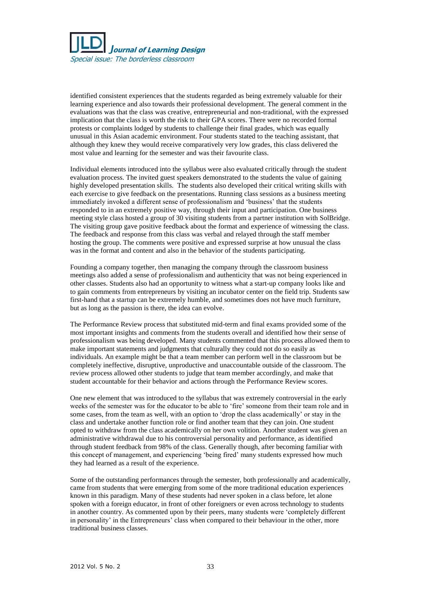

identified consistent experiences that the students regarded as being extremely valuable for their learning experience and also towards their professional development. The general comment in the evaluations was that the class was creative, entrepreneurial and non-traditional, with the expressed implication that the class is worth the risk to their GPA scores. There were no recorded formal protests or complaints lodged by students to challenge their final grades, which was equally unusual in this Asian academic environment. Four students stated to the teaching assistant, that although they knew they would receive comparatively very low grades, this class delivered the most value and learning for the semester and was their favourite class.

Individual elements introduced into the syllabus were also evaluated critically through the student evaluation process. The invited guest speakers demonstrated to the students the value of gaining highly developed presentation skills. The students also developed their critical writing skills with each exercise to give feedback on the presentations. Running class sessions as a business meeting immediately invoked a different sense of professionalism and 'business' that the students responded to in an extremely positive way, through their input and participation. One business meeting style class hosted a group of 30 visiting students from a partner institution with SolBridge. The visiting group gave positive feedback about the format and experience of witnessing the class. The feedback and response from this class was verbal and relayed through the staff member hosting the group. The comments were positive and expressed surprise at how unusual the class was in the format and content and also in the behavior of the students participating.

Founding a company together, then managing the company through the classroom business meetings also added a sense of professionalism and authenticity that was not being experienced in other classes. Students also had an opportunity to witness what a start-up company looks like and to gain comments from entrepreneurs by visiting an incubator center on the field trip. Students saw first-hand that a startup can be extremely humble, and sometimes does not have much furniture, but as long as the passion is there, the idea can evolve.

The Performance Review process that substituted mid-term and final exams provided some of the most important insights and comments from the students overall and identified how their sense of professionalism was being developed. Many students commented that this process allowed them to make important statements and judgments that culturally they could not do so easily as individuals. An example might be that a team member can perform well in the classroom but be completely ineffective, disruptive, unproductive and unaccountable outside of the classroom. The review process allowed other students to judge that team member accordingly, and make that student accountable for their behavior and actions through the Performance Review scores.

One new element that was introduced to the syllabus that was extremely controversial in the early weeks of the semester was for the educator to be able to 'fire' someone from their team role and in some cases, from the team as well, with an option to 'drop the class academically' or stay in the class and undertake another function role or find another team that they can join. One student opted to withdraw from the class academically on her own volition. Another student was given an administrative withdrawal due to his controversial personality and performance, as identified through student feedback from 98% of the class. Generally though, after becoming familiar with this concept of management, and experiencing 'being fired' many students expressed how much they had learned as a result of the experience.

Some of the outstanding performances through the semester, both professionally and academically, came from students that were emerging from some of the more traditional education experiences known in this paradigm. Many of these students had never spoken in a class before, let alone spoken with a foreign educator, in front of other foreigners or even across technology to students in another country. As commented upon by their peers, many students were 'completely different in personality' in the Entrepreneurs' class when compared to their behaviour in the other, more traditional business classes.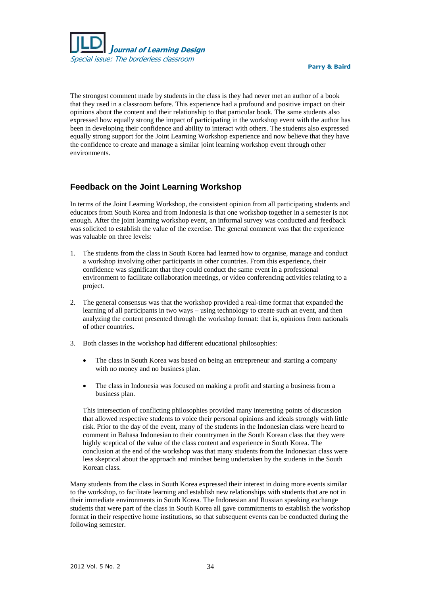

The strongest comment made by students in the class is they had never met an author of a book that they used in a classroom before. This experience had a profound and positive impact on their opinions about the content and their relationship to that particular book. The same students also expressed how equally strong the impact of participating in the workshop event with the author has been in developing their confidence and ability to interact with others. The students also expressed equally strong support for the Joint Learning Workshop experience and now believe that they have the confidence to create and manage a similar joint learning workshop event through other environments.

## **Feedback on the Joint Learning Workshop**

In terms of the Joint Learning Workshop, the consistent opinion from all participating students and educators from South Korea and from Indonesia is that one workshop together in a semester is not enough. After the joint learning workshop event, an informal survey was conducted and feedback was solicited to establish the value of the exercise. The general comment was that the experience was valuable on three levels:

- 1. The students from the class in South Korea had learned how to organise, manage and conduct a workshop involving other participants in other countries. From this experience, their confidence was significant that they could conduct the same event in a professional environment to facilitate collaboration meetings, or video conferencing activities relating to a project.
- 2. The general consensus was that the workshop provided a real-time format that expanded the learning of all participants in two ways – using technology to create such an event, and then analyzing the content presented through the workshop format: that is, opinions from nationals of other countries.
- 3. Both classes in the workshop had different educational philosophies:
	- The class in South Korea was based on being an entrepreneur and starting a company with no money and no business plan.
	- The class in Indonesia was focused on making a profit and starting a business from a business plan.

This intersection of conflicting philosophies provided many interesting points of discussion that allowed respective students to voice their personal opinions and ideals strongly with little risk. Prior to the day of the event, many of the students in the Indonesian class were heard to comment in Bahasa Indonesian to their countrymen in the South Korean class that they were highly sceptical of the value of the class content and experience in South Korea. The conclusion at the end of the workshop was that many students from the Indonesian class were less skeptical about the approach and mindset being undertaken by the students in the South Korean class.

Many students from the class in South Korea expressed their interest in doing more events similar to the workshop, to facilitate learning and establish new relationships with students that are not in their immediate environments in South Korea. The Indonesian and Russian speaking exchange students that were part of the class in South Korea all gave commitments to establish the workshop format in their respective home institutions, so that subsequent events can be conducted during the following semester.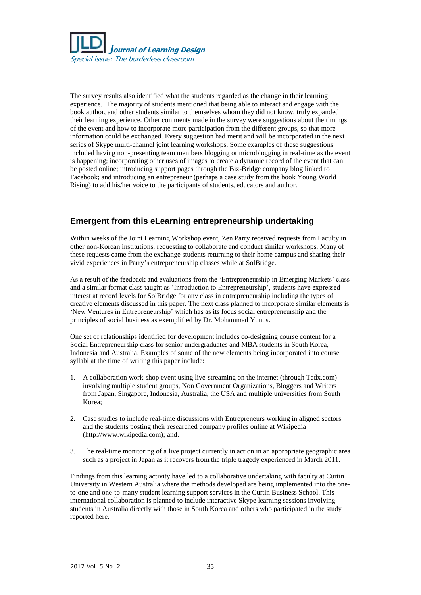

The survey results also identified what the students regarded as the change in their learning experience. The majority of students mentioned that being able to interact and engage with the book author, and other students similar to themselves whom they did not know, truly expanded their learning experience. Other comments made in the survey were suggestions about the timings of the event and how to incorporate more participation from the different groups, so that more information could be exchanged. Every suggestion had merit and will be incorporated in the next series of Skype multi-channel joint learning workshops. Some examples of these suggestions included having non-presenting team members blogging or microblogging in real-time as the event is happening; incorporating other uses of images to create a dynamic record of the event that can be posted online; introducing support pages through the Biz-Bridge company blog linked to Facebook; and introducing an entrepreneur (perhaps a case study from the book Young World Rising) to add his/her voice to the participants of students, educators and author.

# **Emergent from this eLearning entrepreneurship undertaking**

Within weeks of the Joint Learning Workshop event, Zen Parry received requests from Faculty in other non-Korean institutions, requesting to collaborate and conduct similar workshops. Many of these requests came from the exchange students returning to their home campus and sharing their vivid experiences in Parry's entrepreneurship classes while at SolBridge.

As a result of the feedback and evaluations from the 'Entrepreneurship in Emerging Markets' class and a similar format class taught as 'Introduction to Entrepreneurship', students have expressed interest at record levels for SolBridge for any class in entrepreneurship including the types of creative elements discussed in this paper. The next class planned to incorporate similar elements is 'New Ventures in Entrepreneurship' which has as its focus social entrepreneurship and the principles of social business as exemplified by Dr. Mohammad Yunus.

One set of relationships identified for development includes co-designing course content for a Social Entrepreneurship class for senior undergraduates and MBA students in South Korea, Indonesia and Australia. Examples of some of the new elements being incorporated into course syllabi at the time of writing this paper include:

- 1. A collaboration work-shop event using live-streaming on the internet (through Tedx.com) involving multiple student groups, Non Government Organizations, Bloggers and Writers from Japan, Singapore, Indonesia, Australia, the USA and multiple universities from South Korea;
- 2. Case studies to include real-time discussions with Entrepreneurs working in aligned sectors and the students posting their researched company profiles online at Wikipedia (http://www.wikipedia.com); and.
- 3. The real-time monitoring of a live project currently in action in an appropriate geographic area such as a project in Japan as it recovers from the triple tragedy experienced in March 2011.

Findings from this learning activity have led to a collaborative undertaking with faculty at Curtin University in Western Australia where the methods developed are being implemented into the oneto-one and one-to-many student learning support services in the Curtin Business School. This international collaboration is planned to include interactive Skype learning sessions involving students in Australia directly with those in South Korea and others who participated in the study reported here.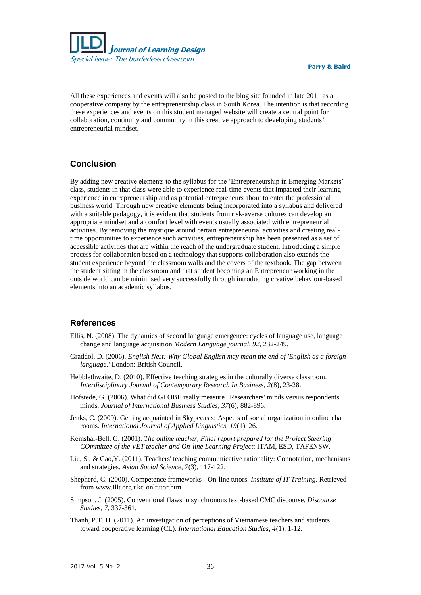

All these experiences and events will also be posted to the blog site founded in late 2011 as a cooperative company by the entrepreneurship class in South Korea. The intention is that recording these experiences and events on this student managed website will create a central point for collaboration, continuity and community in this creative approach to developing students' entrepreneurial mindset.

# **Conclusion**

By adding new creative elements to the syllabus for the 'Entrepreneurship in Emerging Markets' class, students in that class were able to experience real-time events that impacted their learning experience in entrepreneurship and as potential entrepreneurs about to enter the professional business world. Through new creative elements being incorporated into a syllabus and delivered with a suitable pedagogy, it is evident that students from risk-averse cultures can develop an appropriate mindset and a comfort level with events usually associated with entrepreneurial activities. By removing the mystique around certain entrepreneurial activities and creating realtime opportunities to experience such activities, entrepreneurship has been presented as a set of accessible activities that are within the reach of the undergraduate student. Introducing a simple process for collaboration based on a technology that supports collaboration also extends the student experience beyond the classroom walls and the covers of the textbook. The gap between the student sitting in the classroom and that student becoming an Entrepreneur working in the outside world can be minimised very successfully through introducing creative behaviour-based elements into an academic syllabus.

#### **References**

- Ellis, N. (2008). The dynamics of second language emergence: cycles of language use, language change and language acquisition *Modern Language journal, 92*, 232-249.
- Graddol, D. (2006). *English Nest: Why Global English may mean the end of 'English as a foreign language.'* London: British Council.
- Hebblethwaite, D. (2010). Effective teaching strategies in the culturally diverse classroom. *Interdisciplinary Journal of Contemporary Research In Business, 2*(8), 23-28.
- Hofstede, G. (2006). What did GLOBE really measure? Researchers' minds versus respondents' minds. *Journal of International Business Studies, 37*(6), 882-896.
- Jenks, C. (2009). Getting acquainted in Skypecasts: Aspects of social organization in online chat rooms. *International Journal of Applied Linguistics, 19*(1), 26.
- Kemshal-Bell, G. (2001). *The online teacher, Final report prepared for the Project Steering COmmittee of the VET teacher and On-line Learning Project*: ITAM, ESD, TAFENSW.
- Liu, S., & Gao,Y. (2011). Teachers' teaching communicative rationality: Connotation, mechanisms and strategies. *Asian Social Science, 7*(3), 117-122.
- Shepherd, C. (2000). Competence frameworks On-line tutors. *Institute of IT Training*. Retrieved from [www.illt.org.ukc-onltutor.htm](http://www.illt.org.ukc-onltutor.htm/)
- Simpson, J. (2005). Conventional flaws in synchronous text-based CMC discourse. *Discourse Studies, 7*, 337-361.
- Thanh, P.T. H. (2011). An investigation of perceptions of Vietnamese teachers and students toward cooperative learning (CL). *International Education Studies, 4*(1), 1-12.